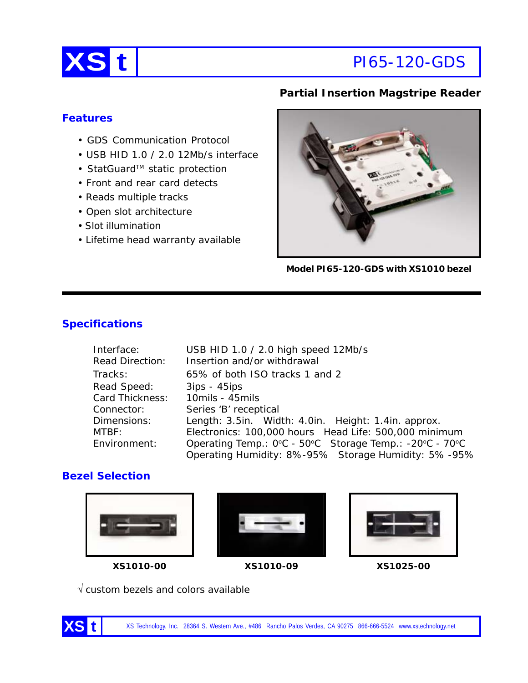

## **Partial Insertion Magstripe Reader**

## **Features**

- GDS Communication Protocol
- USB HID 1.0 / 2.0 12Mb/s interface
- StatGuard™ static protection
- Front and rear card detects
- Reads multiple tracks
- Open slot architecture
- Slot illumination
- Lifetime head warranty available

**Model PI65-120-GDS with XS1010 bezel**

# **Specifications**

| Interface:             | USB HID 1.0 / 2.0 high speed 12Mb/s                     |
|------------------------|---------------------------------------------------------|
| <b>Read Direction:</b> | Insertion and/or withdrawal                             |
| Tracks:                | 65% of both ISO tracks 1 and 2                          |
| Read Speed:            | $3ips - 45ips$                                          |
| Card Thickness:        | 10mils - 45mils                                         |
| Connector:             | Series 'B' receptical                                   |
| Dimensions:            | Length: 3.5in. Width: 4.0in. Height: 1.4in. approx.     |
| MTBF:                  | Electronics: 100,000 hours Head Life: 500,000 minimum   |
| Environment:           | Operating Temp.: 0°C - 50°C Storage Temp.: -20°C - 70°C |
|                        | Operating Humidity: 8%-95% Storage Humidity: 5%-95%     |

# **Bezel Selection**





**XS1010-00 XS1010-09 XS1025-00**



√ custom bezels and colors available